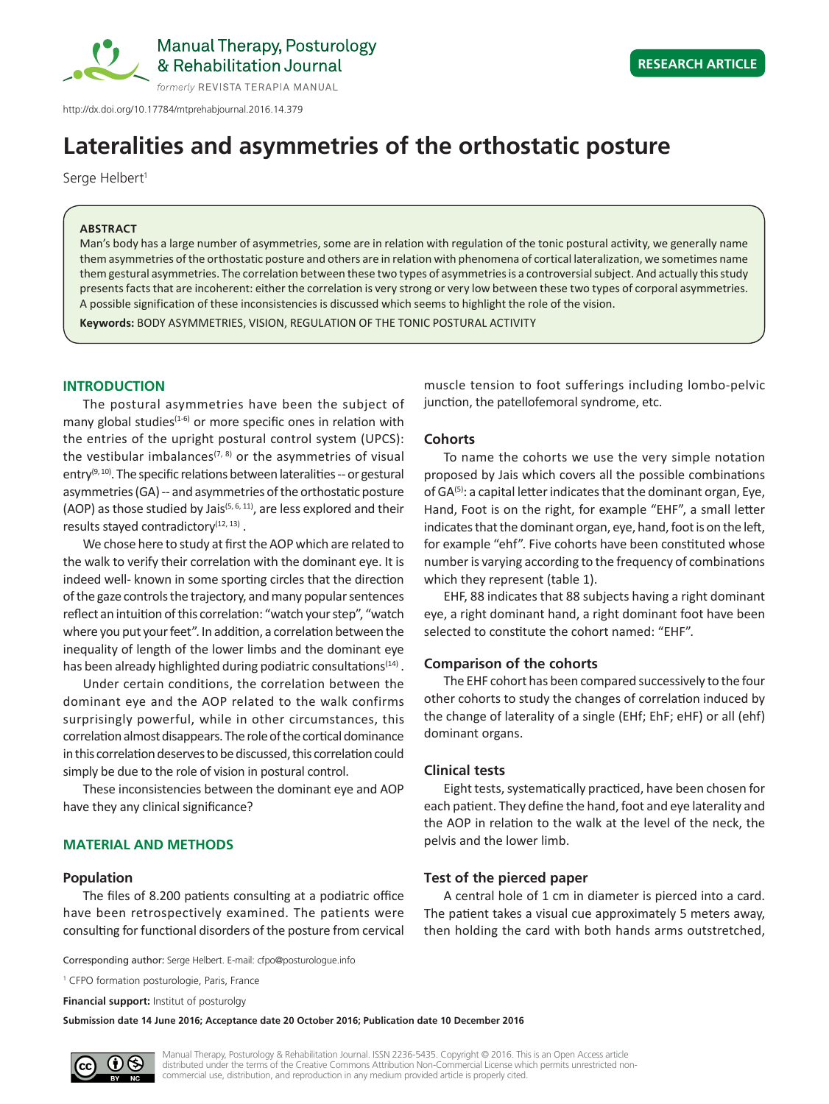

# **Lateralities and asymmetries of the orthostatic posture**

Serge Helbert<sup>1</sup>

#### **ABSTRACT**

Man's body has a large number of asymmetries, some are in relation with regulation of the tonic postural activity, we generally name them asymmetries of the orthostatic posture and others are in relation with phenomena of cortical lateralization, we sometimes name them gestural asymmetries. The correlation between these two types of asymmetries is a controversial subject. And actually this study presents facts that are incoherent: either the correlation is very strong or very low between these two types of corporal asymmetries. A possible signification of these inconsistencies is discussed which seems to highlight the role of the vision.

**Keywords:** BODY ASYMMETRIES, VISION, REGULATION OF THE TONIC POSTURAL ACTIVITY

### **INTRODUCTION**

The postural asymmetries have been the subject of many global studies<sup>(1-6)</sup> or more specific ones in relation with the entries of the upright postural control system (UPCS): the vestibular imbalances<sup> $(7, 8)$ </sup> or the asymmetries of visual entry<sup>(9, 10)</sup>. The specific relations between lateralities  $-$  or gestural asymmetries (GA) -- and asymmetries of the orthostatic posture (AOP) as those studied by Jais<sup>(5, 6, 11)</sup>, are less explored and their results stayed contradictory $(12, 13)$ .

We chose here to study at first the AOP which are related to the walk to verify their correlation with the dominant eye. It is indeed well- known in some sporting circles that the direction of the gaze controls the trajectory, and many popular sentences reflect an intuition of this correlation: "watch your step", "watch where you put your feet". In addition, a correlation between the inequality of length of the lower limbs and the dominant eye has been already highlighted during podiatric consultations $(14)$ .

Under certain conditions, the correlation between the dominant eye and the AOP related to the walk confirms surprisingly powerful, while in other circumstances, this correlation almost disappears. The role of the cortical dominance in this correlation deserves to be discussed, this correlation could simply be due to the role of vision in postural control.

These inconsistencies between the dominant eye and AOP have they any clinical significance?

# **MATERIAL AND METHODS**

#### **Population**

The files of 8.200 patients consulting at a podiatric office have been retrospectively examined. The patients were consulting for functional disorders of the posture from cervical

Corresponding author: Serge Helbert. E-mail: cfpo@posturologue.info

<sup>1</sup> CFPO formation posturologie, Paris, France

**Financial support:** Institut of posturolgy

**Submission date 14 June 2016; Acceptance date 20 October 2016; Publication date 10 December 2016**

muscle tension to foot sufferings including lombo-pelvic junction, the patellofemoral syndrome, etc.

#### **Cohorts**

To name the cohorts we use the very simple notation proposed by Jais which covers all the possible combinations of GA<sup>(5)</sup>: a capital letter indicates that the dominant organ, Eye, Hand, Foot is on the right, for example "EHF", a small letter indicates that the dominant organ, eye, hand, foot is on the left, for example "ehf". Five cohorts have been constituted whose number is varying according to the frequency of combinations which they represent (table 1).

EHF, 88 indicates that 88 subjects having a right dominant eye, a right dominant hand, a right dominant foot have been selected to constitute the cohort named: "EHF".

## **Comparison of the cohorts**

The EHF cohort has been compared successively to the four other cohorts to study the changes of correlation induced by the change of laterality of a single (EHf; EhF; eHF) or all (ehf) dominant organs.

#### **Clinical tests**

Eight tests, systematically practiced, have been chosen for each patient. They define the hand, foot and eye laterality and the AOP in relation to the walk at the level of the neck, the pelvis and the lower limb.

## **Test of the pierced paper**

A central hole of 1 cm in diameter is pierced into a card. The patient takes a visual cue approximately 5 meters away, then holding the card with both hands arms outstretched,

Manual Therapy, Posturology & Rehabilitation Journal. ISSN 2236-5435. Copyright © 2016. This is an Open Access article distributed under the terms of the Creative Commons Attribution Non-Commercial License which permits unrestricted noncommercial use, distribution, and reproduction in any medium provided article is properly cited.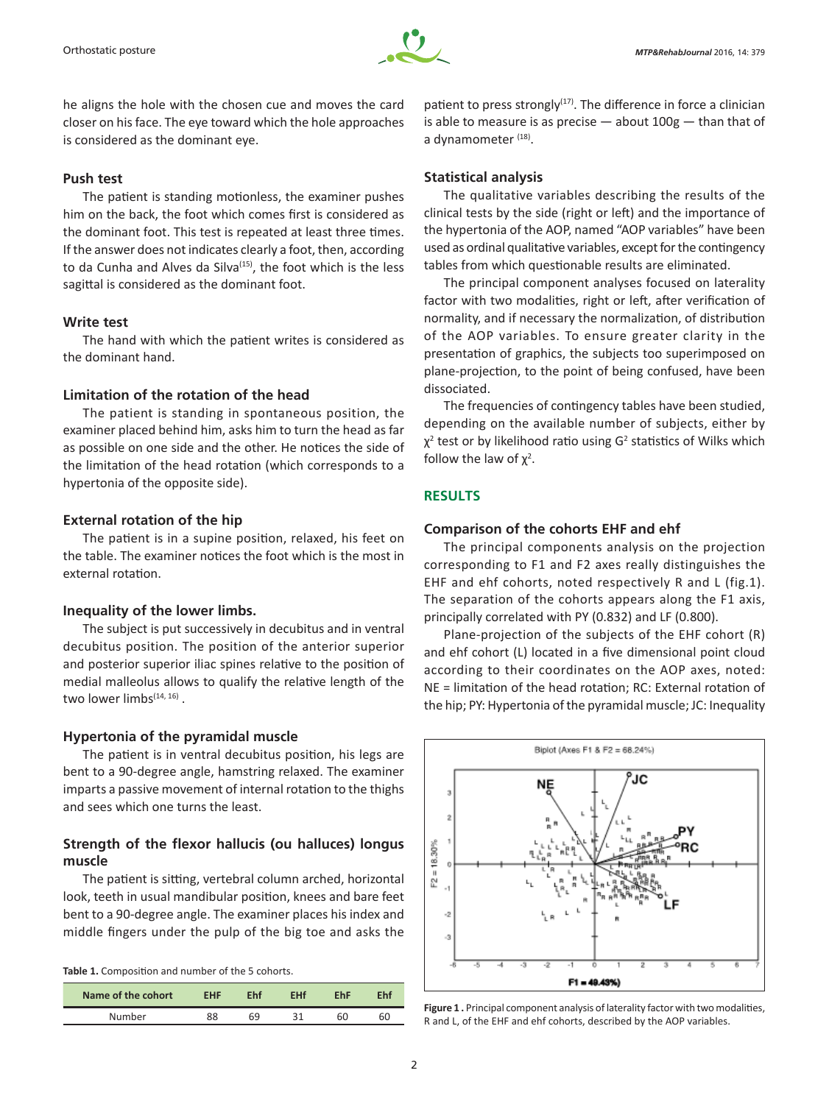

he aligns the hole with the chosen cue and moves the card closer on his face. The eye toward which the hole approaches is considered as the dominant eye.

## **Push test**

The patient is standing motionless, the examiner pushes him on the back, the foot which comes first is considered as the dominant foot. This test is repeated at least three times. If the answer does not indicates clearly a foot, then, according to da Cunha and Alves da Silva<sup>(15)</sup>, the foot which is the less sagittal is considered as the dominant foot.

#### **Write test**

The hand with which the patient writes is considered as the dominant hand.

## **Limitation of the rotation of the head**

The patient is standing in spontaneous position, the examiner placed behind him, asks him to turn the head as far as possible on one side and the other. He notices the side of the limitation of the head rotation (which corresponds to a hypertonia of the opposite side).

## **External rotation of the hip**

The patient is in a supine position, relaxed, his feet on the table. The examiner notices the foot which is the most in external rotation.

### **Inequality of the lower limbs.**

The subject is put successively in decubitus and in ventral decubitus position. The position of the anterior superior and posterior superior iliac spines relative to the position of medial malleolus allows to qualify the relative length of the two lower limbs<sup>(14, 16)</sup>.

#### **Hypertonia of the pyramidal muscle**

The patient is in ventral decubitus position, his legs are bent to a 90-degree angle, hamstring relaxed. The examiner imparts a passive movement of internal rotation to the thighs and sees which one turns the least.

## **Strength of the flexor hallucis (ou halluces) longus muscle**

The patient is sitting, vertebral column arched, horizontal look, teeth in usual mandibular position, knees and bare feet bent to a 90-degree angle. The examiner places his index and middle fingers under the pulp of the big toe and asks the

|  | Table 1. Composition and number of the 5 cohorts. |  |  |  |  |  |
|--|---------------------------------------------------|--|--|--|--|--|
|--|---------------------------------------------------|--|--|--|--|--|

| Name of the cohort | <b>FHF</b> | Fhi | FHf | FhF | Fht |
|--------------------|------------|-----|-----|-----|-----|
| Number             |            | 69  |     |     | 60  |

patient to press strongly $(17)$ . The difference in force a clinician is able to measure is as precise  $-$  about  $100g -$  than that of a dynamometer (18).

## **Statistical analysis**

The qualitative variables describing the results of the clinical tests by the side (right or left) and the importance of the hypertonia of the AOP, named "AOP variables" have been used as ordinal qualitative variables, except for the contingency tables from which questionable results are eliminated.

The principal component analyses focused on laterality factor with two modalities, right or left, after verification of normality, and if necessary the normalization, of distribution of the AOP variables. To ensure greater clarity in the presentation of graphics, the subjects too superimposed on plane-projection, to the point of being confused, have been dissociated.

The frequencies of contingency tables have been studied, depending on the available number of subjects, either by  $\chi^2$  test or by likelihood ratio using G<sup>2</sup> statistics of Wilks which follow the law of  $\chi^2$ .

# **RESULTS**

## **Comparison of the cohorts EHF and ehf**

The principal components analysis on the projection corresponding to F1 and F2 axes really distinguishes the EHF and ehf cohorts, noted respectively R and L (fig.1). The separation of the cohorts appears along the F1 axis, principally correlated with PY (0.832) and LF (0.800).

Plane-projection of the subjects of the EHF cohort (R) and ehf cohort (L) located in a five dimensional point cloud according to their coordinates on the AOP axes, noted: NE = limitation of the head rotation; RC: External rotation of the hip; PY: Hypertonia of the pyramidal muscle; JC: Inequality



Figure 1. Principal component analysis of laterality factor with two modalities, R and L, of the EHF and ehf cohorts, described by the AOP variables.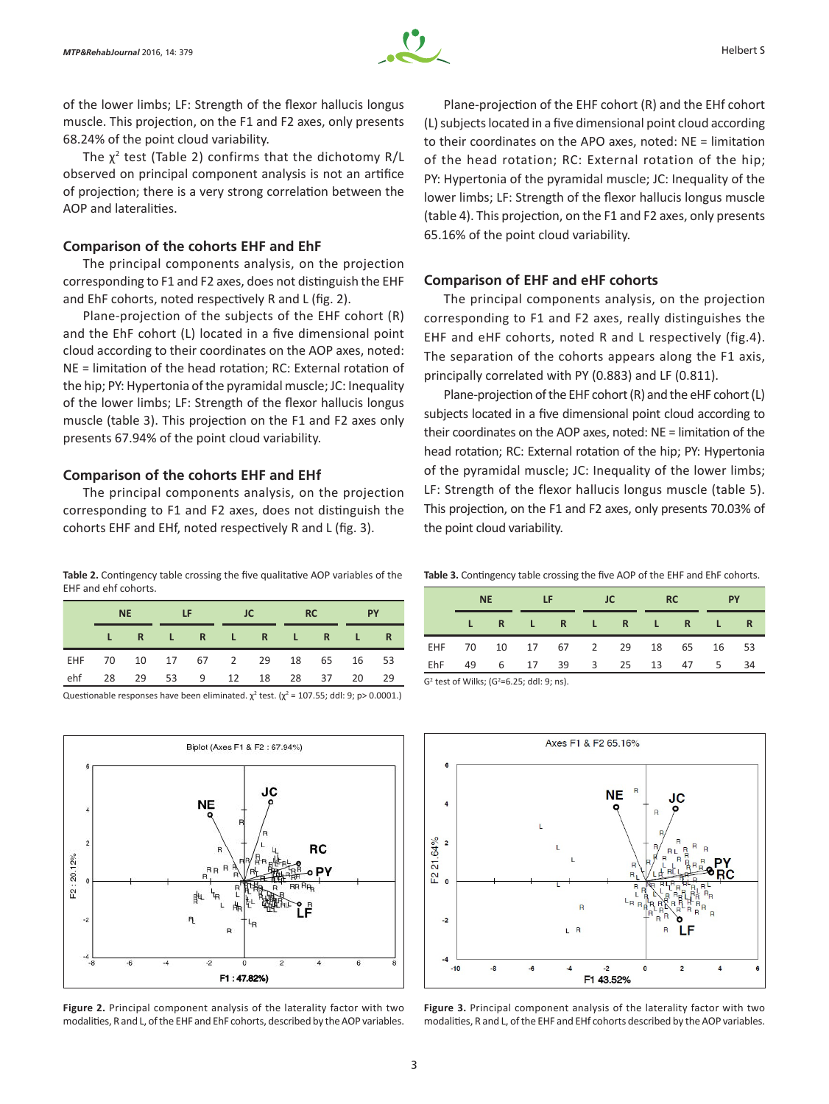

of the lower limbs; LF: Strength of the flexor hallucis longus muscle. This projection, on the F1 and F2 axes, only presents 68.24% of the point cloud variability.

The  $\chi^2$  test (Table 2) confirms that the dichotomy R/L observed on principal component analysis is not an artifice of projection; there is a very strong correlation between the AOP and lateralities.

#### **Comparison of the cohorts EHF and EhF**

The principal components analysis, on the projection corresponding to F1 and F2 axes, does not distinguish the EHF and EhF cohorts, noted respectively R and L (fig. 2).

Plane-projection of the subjects of the EHF cohort (R) and the EhF cohort (L) located in a five dimensional point cloud according to their coordinates on the AOP axes, noted: NE = limitation of the head rotation; RC: External rotation of the hip; PY: Hypertonia of the pyramidal muscle; JC: Inequality of the lower limbs; LF: Strength of the flexor hallucis longus muscle (table 3). This projection on the F1 and F2 axes only presents 67.94% of the point cloud variability.

## **Comparison of the cohorts EHF and EHf**

The principal components analysis, on the projection corresponding to F1 and F2 axes, does not distinguish the cohorts EHF and EHf, noted respectively R and L (fig. 3).

**Table 2.** Contingency table crossing the five qualitative AOP variables of the EHF and ehf cohorts.

|     | <b>NE</b>                        |  | <b>ALLEY COMPANY</b> |  | TC                  |  | RC |  | <b>PY</b> |     |
|-----|----------------------------------|--|----------------------|--|---------------------|--|----|--|-----------|-----|
|     |                                  |  |                      |  | LR LR LR LR LR      |  |    |  |           |     |
|     | EHF 70 10 17 67 2 29 18 65 16 53 |  |                      |  |                     |  |    |  |           |     |
| ehf | 28                               |  |                      |  | 29 53 9 12 18 28 37 |  |    |  | 20        | -29 |

Questionable responses have been eliminated.  $\chi^2$  test. ( $\chi^2$  = 107.55; ddl: 9; p> 0.0001.)



**Figure 2.** Principal component analysis of the laterality factor with two modalities, R and L, of the EHF and EhF cohorts, described by the AOP variables.

Plane-projection of the EHF cohort (R) and the EHf cohort (L) subjects located in a five dimensional point cloud according to their coordinates on the APO axes, noted: NE = limitation of the head rotation; RC: External rotation of the hip; PY: Hypertonia of the pyramidal muscle; JC: Inequality of the lower limbs; LF: Strength of the flexor hallucis longus muscle (table 4). This projection, on the F1 and F2 axes, only presents 65.16% of the point cloud variability.

# **Comparison of EHF and eHF cohorts**

The principal components analysis, on the projection corresponding to F1 and F2 axes, really distinguishes the EHF and eHF cohorts, noted R and L respectively (fig.4). The separation of the cohorts appears along the F1 axis, principally correlated with PY (0.883) and LF (0.811).

Plane‑projection of the EHF cohort (R) and the eHF cohort (L) subjects located in a five dimensional point cloud according to their coordinates on the AOP axes, noted: NE = limitation of the head rotation; RC: External rotation of the hip; PY: Hypertonia of the pyramidal muscle; JC: Inequality of the lower limbs; LF: Strength of the flexor hallucis longus muscle (table 5). This projection, on the F1 and F2 axes, only presents 70.03% of the point cloud variability.

**Table 3.** Contingency table crossing the five AOP of the EHF and EhF cohorts.

|                                               | <b>NE</b> |  | <b>LF</b> |  | <b>JC</b> |                            | <b>RC</b> |      | <b>PY</b> |     |
|-----------------------------------------------|-----------|--|-----------|--|-----------|----------------------------|-----------|------|-----------|-----|
|                                               |           |  |           |  |           | LR LR LR LR                |           |      |           |     |
|                                               |           |  |           |  |           | EHF 70 10 17 67 2 29 18 65 |           |      | 16 53     |     |
| EhF                                           | 49        |  |           |  |           | 6 17 39 3 25 13            |           | 47 5 |           | -34 |
| $C2$ tort of Willer $C2-C$ $2E$ , ddl, 0, ne) |           |  |           |  |           |                            |           |      |           |     |

 $\mathsf{G}^2$ test of Wilks; (G<sup>2</sup> =6.25; ddl: 9; ns).



**Figure 3.** Principal component analysis of the laterality factor with two modalities, R and L, of the EHF and EHf cohorts described by the AOP variables.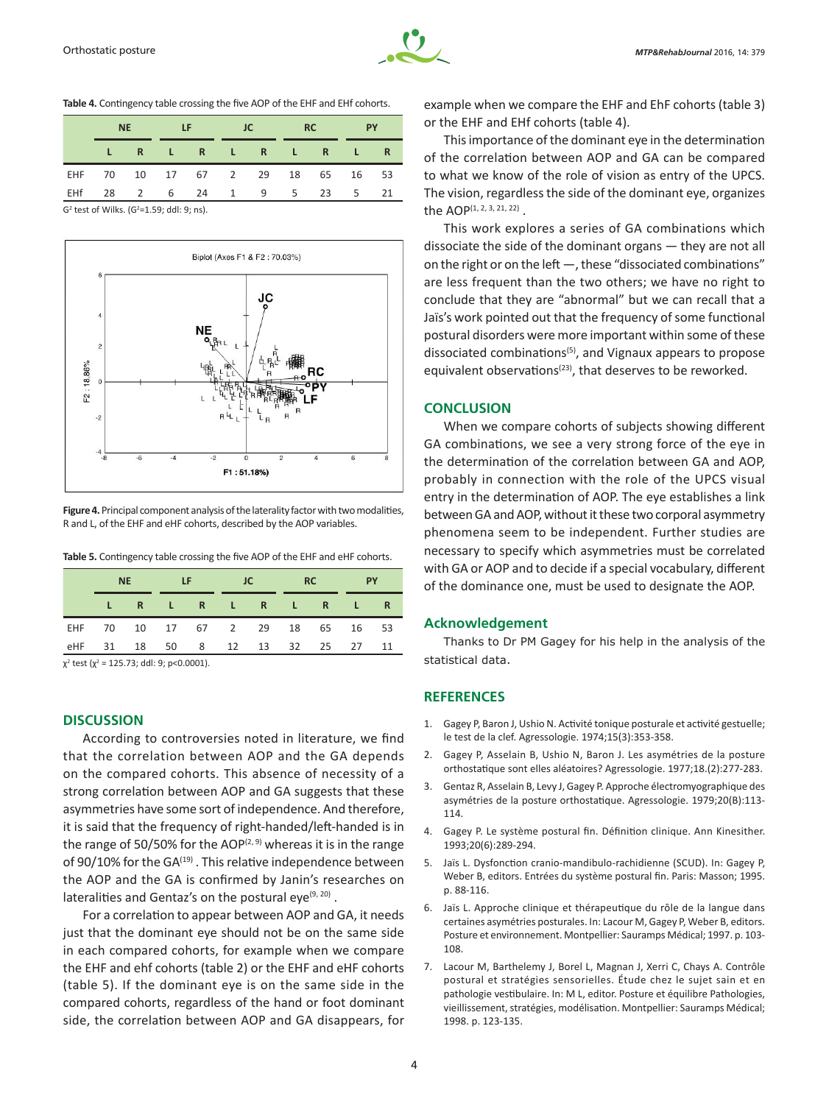**Table 4.** Contingency table crossing the five AOP of the EHF and EHf cohorts.

| <b>NF</b> |  | <b>Example 10 Fig. 1C</b> RC RC |  |  |                                  |  |  | <b>PY</b> |      |
|-----------|--|---------------------------------|--|--|----------------------------------|--|--|-----------|------|
|           |  |                                 |  |  | LR LR LR LR LR                   |  |  |           |      |
|           |  |                                 |  |  | EHF 70 10 17 67 2 29 18 65 16 53 |  |  |           |      |
|           |  |                                 |  |  | EHf 28 2 6 24 1 9 5 23 5         |  |  |           | - 21 |

G<sup>2</sup> test of Wilks. (G<sup>2</sup>=1.59; ddl: 9; ns).



**Figure 4.** Principal component analysis of the laterality factor with two modalities, R and L, of the EHF and eHF cohorts, described by the AOP variables.

**Table 5.** Contingency table crossing the five AOP of the EHF and eHF cohorts.

|                                                   | NE |  | <b>STATE LES</b>                 |  | <b>JC</b> |  | RC |  | <b>PY</b> |    |
|---------------------------------------------------|----|--|----------------------------------|--|-----------|--|----|--|-----------|----|
|                                                   |    |  | LR LR LR LR LR                   |  |           |  |    |  |           |    |
|                                                   |    |  | EHF 70 10 17 67 2 29 18 65 16 53 |  |           |  |    |  |           |    |
|                                                   |    |  | eHF 31 18 50 8 12 13 32 25 27    |  |           |  |    |  |           | 11 |
| $.7 + .1$ , $.7 + .7 = .1$ , $.1 - .0$ , $.70001$ |    |  |                                  |  |           |  |    |  |           |    |

χ2 test (χ<sup>2</sup> = 125.73; ddl: 9; p<0.0001).

# **DISCUSSION**

According to controversies noted in literature, we find that the correlation between AOP and the GA depends on the compared cohorts. This absence of necessity of a strong correlation between AOP and GA suggests that these asymmetries have some sort of independence. And therefore, it is said that the frequency of right-handed/left-handed is in the range of 50/50% for the AOP $(2, 9)$  whereas it is in the range of 90/10% for the GA<sup>(19)</sup>. This relative independence between the AOP and the GA is confirmed by Janin's researches on lateralities and Gentaz's on the postural eye<sup>(9, 20)</sup>.

For a correlation to appear between AOP and GA, it needs just that the dominant eye should not be on the same side in each compared cohorts, for example when we compare the EHF and ehf cohorts (table 2) or the EHF and eHF cohorts (table 5). If the dominant eye is on the same side in the compared cohorts, regardless of the hand or foot dominant side, the correlation between AOP and GA disappears, for

example when we compare the EHF and EhF cohorts (table 3) or the EHF and EHf cohorts (table 4).

This importance of the dominant eye in the determination of the correlation between AOP and GA can be compared to what we know of the role of vision as entry of the UPCS. The vision, regardless the side of the dominant eye, organizes the AOP(1, 2, 3, 21, 22).

This work explores a series of GA combinations which dissociate the side of the dominant organs — they are not all on the right or on the left —, these "dissociated combinations" are less frequent than the two others; we have no right to conclude that they are "abnormal" but we can recall that a Jaïs's work pointed out that the frequency of some functional postural disorders were more important within some of these dissociated combinations<sup>(5)</sup>, and Vignaux appears to propose equivalent observations<sup>(23)</sup>, that deserves to be reworked.

#### **CONCLUSION**

When we compare cohorts of subjects showing different GA combinations, we see a very strong force of the eye in the determination of the correlation between GA and AOP, probably in connection with the role of the UPCS visual entry in the determination of AOP. The eye establishes a link between GA and AOP, without it these two corporal asymmetry phenomena seem to be independent. Further studies are necessary to specify which asymmetries must be correlated with GA or AOP and to decide if a special vocabulary, different of the dominance one, must be used to designate the AOP.

#### **Acknowledgement**

Thanks to Dr PM Gagey for his help in the analysis of the statistical data.

# **REFERENCES**

- 1. Gagey P, Baron J, Ushio N. Activité tonique posturale et activité gestuelle; le test de la clef. Agressologie. 1974;15(3):353-358.
- 2. Gagey P, Asselain B, Ushio N, Baron J. Les asymétries de la posture orthostatique sont elles aléatoires? Agressologie. 1977;18.(2):277-283.
- 3. Gentaz R, Asselain B, Levy J, Gagey P. Approche électromyographique des asymétries de la posture orthostatique. Agressologie. 1979;20(B):113- 114.
- 4. Gagey P. Le système postural fin. Définition clinique. Ann Kinesither. 1993;20(6):289-294.
- 5. Jaïs L. Dysfonction cranio-mandibulo-rachidienne (SCUD). In: Gagey P, Weber B, editors. Entrées du système postural fin. Paris: Masson; 1995. p. 88-116.
- 6. Jaïs L. Approche clinique et thérapeutique du rôle de la langue dans certaines asymétries posturales. In: Lacour M, Gagey P, Weber B, editors. Posture et environnement. Montpellier: Sauramps Médical; 1997. p. 103- 108.
- 7. Lacour M, Barthelemy J, Borel L, Magnan J, Xerri C, Chays A. Contrôle postural et stratégies sensorielles. Étude chez le sujet sain et en pathologie vestibulaire. In: M L, editor. Posture et équilibre Pathologies, vieillissement, stratégies, modélisation. Montpellier: Sauramps Médical; 1998. p. 123-135.